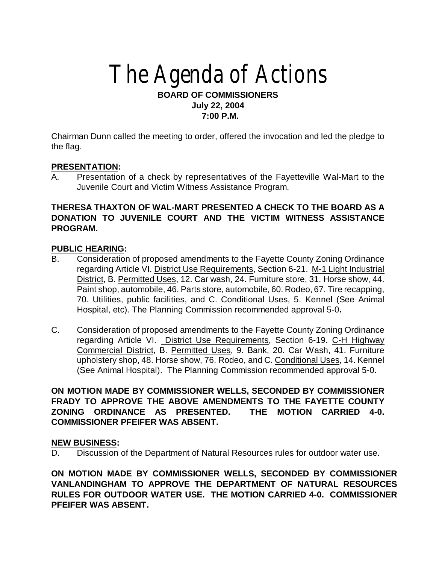# The Agenda of Actions

## **BOARD OF COMMISSIONERS July 22, 2004 7:00 P.M.**

Chairman Dunn called the meeting to order, offered the invocation and led the pledge to the flag.

## **PRESENTATION:**

A. Presentation of a check by representatives of the Fayetteville Wal-Mart to the Juvenile Court and Victim Witness Assistance Program.

# **THERESA THAXTON OF WAL-MART PRESENTED A CHECK TO THE BOARD AS A DONATION TO JUVENILE COURT AND THE VICTIM WITNESS ASSISTANCE PROGRAM.**

## **PUBLIC HEARING:**

- B. Consideration of proposed amendments to the Fayette County Zoning Ordinance regarding Article VI. District Use Requirements, Section 6-21. M-1 Light Industrial District, B. Permitted Uses, 12. Car wash, 24. Furniture store, 31. Horse show, 44. Paint shop, automobile, 46. Parts store, automobile, 60. Rodeo, 67. Tire recapping, 70. Utilities, public facilities, and C. Conditional Uses, 5. Kennel (See Animal Hospital, etc). The Planning Commission recommended approval 5-0**.**
- C. Consideration of proposed amendments to the Fayette County Zoning Ordinance regarding Article VI. District Use Requirements, Section 6-19. C-H Highway Commercial District, B. Permitted Uses, 9. Bank, 20. Car Wash, 41. Furniture upholstery shop, 48. Horse show, 76. Rodeo, and C. Conditional Uses, 14. Kennel (See Animal Hospital). The Planning Commission recommended approval 5-0.

## **ON MOTION MADE BY COMMISSIONER WELLS, SECONDED BY COMMISSIONER FRADY TO APPROVE THE ABOVE AMENDMENTS TO THE FAYETTE COUNTY ZONING ORDINANCE AS PRESENTED. THE MOTION CARRIED 4-0. COMMISSIONER PFEIFER WAS ABSENT.**

## **NEW BUSINESS:**

D. Discussion of the Department of Natural Resources rules for outdoor water use.

**ON MOTION MADE BY COMMISSIONER WELLS, SECONDED BY COMMISSIONER VANLANDINGHAM TO APPROVE THE DEPARTMENT OF NATURAL RESOURCES RULES FOR OUTDOOR WATER USE. THE MOTION CARRIED 4-0. COMMISSIONER PFEIFER WAS ABSENT.**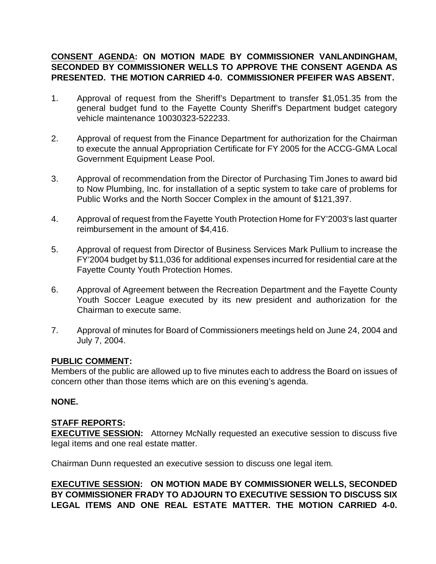# **CONSENT AGENDA: ON MOTION MADE BY COMMISSIONER VANLANDINGHAM, SECONDED BY COMMISSIONER WELLS TO APPROVE THE CONSENT AGENDA AS PRESENTED. THE MOTION CARRIED 4-0. COMMISSIONER PFEIFER WAS ABSENT.**

- 1. Approval of request from the Sheriff's Department to transfer \$1,051.35 from the general budget fund to the Fayette County Sheriff's Department budget category vehicle maintenance 10030323-522233.
- 2. Approval of request from the Finance Department for authorization for the Chairman to execute the annual Appropriation Certificate for FY 2005 for the ACCG-GMA Local Government Equipment Lease Pool.
- 3. Approval of recommendation from the Director of Purchasing Tim Jones to award bid to Now Plumbing, Inc. for installation of a septic system to take care of problems for Public Works and the North Soccer Complex in the amount of \$121,397.
- 4. Approval of request from the Fayette Youth Protection Home for FY'2003's last quarter reimbursement in the amount of \$4,416.
- 5. Approval of request from Director of Business Services Mark Pullium to increase the FY'2004 budget by \$11,036 for additional expenses incurred for residential care at the Fayette County Youth Protection Homes.
- 6. Approval of Agreement between the Recreation Department and the Fayette County Youth Soccer League executed by its new president and authorization for the Chairman to execute same.
- 7. Approval of minutes for Board of Commissioners meetings held on June 24, 2004 and July 7, 2004.

## **PUBLIC COMMENT:**

Members of the public are allowed up to five minutes each to address the Board on issues of concern other than those items which are on this evening's agenda.

## **NONE.**

# **STAFF REPORTS:**

**EXECUTIVE SESSION:** Attorney McNally requested an executive session to discuss five legal items and one real estate matter.

Chairman Dunn requested an executive session to discuss one legal item.

**EXECUTIVE SESSION: ON MOTION MADE BY COMMISSIONER WELLS, SECONDED BY COMMISSIONER FRADY TO ADJOURN TO EXECUTIVE SESSION TO DISCUSS SIX LEGAL ITEMS AND ONE REAL ESTATE MATTER. THE MOTION CARRIED 4-0.**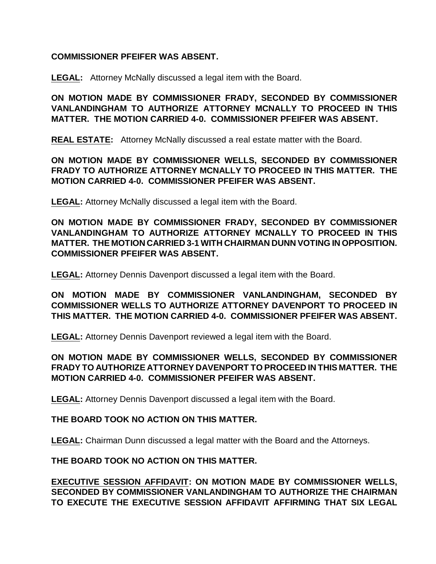## **COMMISSIONER PFEIFER WAS ABSENT.**

**LEGAL:** Attorney McNally discussed a legal item with the Board.

**ON MOTION MADE BY COMMISSIONER FRADY, SECONDED BY COMMISSIONER VANLANDINGHAM TO AUTHORIZE ATTORNEY MCNALLY TO PROCEED IN THIS MATTER. THE MOTION CARRIED 4-0. COMMISSIONER PFEIFER WAS ABSENT.**

**REAL ESTATE:** Attorney McNally discussed a real estate matter with the Board.

**ON MOTION MADE BY COMMISSIONER WELLS, SECONDED BY COMMISSIONER FRADY TO AUTHORIZE ATTORNEY MCNALLY TO PROCEED IN THIS MATTER. THE MOTION CARRIED 4-0. COMMISSIONER PFEIFER WAS ABSENT.**

**LEGAL:** Attorney McNally discussed a legal item with the Board.

**ON MOTION MADE BY COMMISSIONER FRADY, SECONDED BY COMMISSIONER VANLANDINGHAM TO AUTHORIZE ATTORNEY MCNALLY TO PROCEED IN THIS MATTER. THE MOTION CARRIED 3-1 WITH CHAIRMAN DUNN VOTING IN OPPOSITION. COMMISSIONER PFEIFER WAS ABSENT.** 

**LEGAL:** Attorney Dennis Davenport discussed a legal item with the Board.

**ON MOTION MADE BY COMMISSIONER VANLANDINGHAM, SECONDED BY COMMISSIONER WELLS TO AUTHORIZE ATTORNEY DAVENPORT TO PROCEED IN THIS MATTER. THE MOTION CARRIED 4-0. COMMISSIONER PFEIFER WAS ABSENT.**

**LEGAL:** Attorney Dennis Davenport reviewed a legal item with the Board.

**ON MOTION MADE BY COMMISSIONER WELLS, SECONDED BY COMMISSIONER FRADY TO AUTHORIZE ATTORNEY DAVENPORT TO PROCEED IN THIS MATTER. THE MOTION CARRIED 4-0. COMMISSIONER PFEIFER WAS ABSENT.**

**LEGAL:** Attorney Dennis Davenport discussed a legal item with the Board.

## **THE BOARD TOOK NO ACTION ON THIS MATTER.**

**LEGAL:** Chairman Dunn discussed a legal matter with the Board and the Attorneys.

**THE BOARD TOOK NO ACTION ON THIS MATTER.**

**EXECUTIVE SESSION AFFIDAVIT: ON MOTION MADE BY COMMISSIONER WELLS, SECONDED BY COMMISSIONER VANLANDINGHAM TO AUTHORIZE THE CHAIRMAN TO EXECUTE THE EXECUTIVE SESSION AFFIDAVIT AFFIRMING THAT SIX LEGAL**